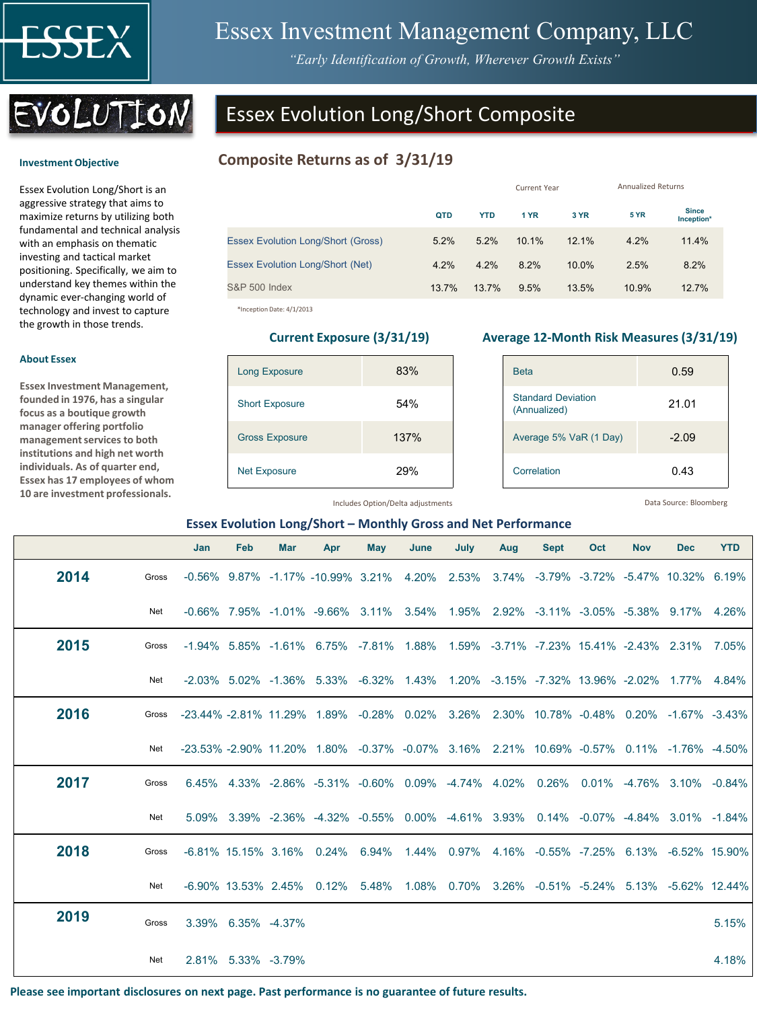

**Investment Objective** 

**About Essex**

**Essex Investment Management, founded in 1976, has a singular focus as a boutique growth manager offering portfolio management services to both institutions and high net worth individuals. As of quarter end, Essex has 17 employees of whom 10 are investment professionals.** 

# Essex Investment Management Company, LLC

*"Early Identification of Growth, Wherever Growth Exists"*



Essex Evolution Long/Short is an aggressive strategy that aims to maximize returns by utilizing both fundamental and technical analysis with an emphasis on thematic investing and tactical market positioning. Specifically, we aim to understand key themes within the dynamic ever-changing world of technology and invest to capture the growth in those trends.

## Essex Evolution Long/Short Composite

#### **Composite Returns as of 3/31/19**

|                                           |       | <b>Current Year</b> |       |          | <b>Annualized Returns</b> |                            |  |
|-------------------------------------------|-------|---------------------|-------|----------|---------------------------|----------------------------|--|
|                                           | QTD   | <b>YTD</b>          | 1 YR  | 3 YR     | <b>5 YR</b>               | <b>Since</b><br>Inception* |  |
| <b>Essex Evolution Long/Short (Gross)</b> | 5.2%  | 5.2%                | 10.1% | 12.1%    | 4.2%                      | 11.4%                      |  |
| <b>Essex Evolution Long/Short (Net)</b>   | 4.2%  | 4.2%                | 8.2%  | $10.0\%$ | 2.5%                      | 8.2%                       |  |
| <b>S&amp;P 500 Index</b>                  | 13.7% | 13.7%               | 9.5%  | 13.5%    | 10.9%                     | 12.7%                      |  |

\*Inception Date: 4/1/2013

# Long Exposure 83% Short Exposure 54% Gross Exposure 137% Net Exposure 29%

#### **Current Exposure (3/31/19) Average 12-Month Risk Measures (3/31/19)**

| <b>Beta</b>                               | 0.59    |
|-------------------------------------------|---------|
| <b>Standard Deviation</b><br>(Annualized) | 21.01   |
| Average 5% VaR (1 Day)                    | $-2.09$ |
| Correlation                               | 0.43    |

Includes Option/Delta adjustments

Data Source: Bloomberg

#### **Essex Evolution Long/Short – Monthly Gross and Net Performance**

|      |       | Jan                                                                                    | Feb                | <b>Mar</b>         | Apr                                                                                           | <b>May</b> | June | July | Aug | <b>Sept</b> | Oct | <b>Nov</b> | <b>Dec</b> | <b>YTD</b> |
|------|-------|----------------------------------------------------------------------------------------|--------------------|--------------------|-----------------------------------------------------------------------------------------------|------------|------|------|-----|-------------|-----|------------|------------|------------|
| 2014 | Gross |                                                                                        |                    |                    | -0.56% 9.87% -1.17% -10.99% 3.21% 4.20% 2.53% 3.74% -3.79% -3.72% -5.47% 10.32% 6.19%         |            |      |      |     |             |     |            |            |            |
|      | Net   |                                                                                        |                    |                    | $-0.66\%$ 7.95% -1.01% -9.66% 3.11% 3.54% 1.95% 2.92% -3.11% -3.05% -5.38% 9.17% 4.26%        |            |      |      |     |             |     |            |            |            |
| 2015 | Gross |                                                                                        |                    |                    | $-1.94\%$ 5.85% $-1.61\%$ 6.75% $-7.81\%$ 1.88% 1.59% -3.71% -7.23% 15.41% -2.43% 2.31% 7.05% |            |      |      |     |             |     |            |            |            |
|      | Net   |                                                                                        |                    |                    | -2.03% 5.02% -1.36% 5.33% -6.32% 1.43% 1.20% -3.15% -7.32% 13.96% -2.02% 1.77% 4.84%          |            |      |      |     |             |     |            |            |            |
| 2016 | Gross | -23.44% -2.81% 11.29% 1.89% -0.28% 0.02% 3.26% 2.30% 10.78% -0.48% 0.20% -1.67% -3.43% |                    |                    |                                                                                               |            |      |      |     |             |     |            |            |            |
|      | Net   |                                                                                        |                    |                    | -23.53% -2.90% 11.20% 1.80% -0.37% -0.07% 3.16% 2.21% 10.69% -0.57% 0.11% -1.76% -4.50%       |            |      |      |     |             |     |            |            |            |
| 2017 | Gross |                                                                                        |                    |                    | $6.45\%$ 4.33% -2.86% -5.31% -0.60% 0.09% -4.74% 4.02% 0.26% 0.01% -4.76% 3.10% -0.84%        |            |      |      |     |             |     |            |            |            |
|      | Net   |                                                                                        |                    |                    | 5.09% 3.39% -2.36% -4.32% -0.55% 0.00% -4.61% 3.93% 0.14% -0.07% -4.84% 3.01% -1.84%          |            |      |      |     |             |     |            |            |            |
| 2018 | Gross |                                                                                        |                    |                    | -6.81% 15.15% 3.16% 0.24% 6.94% 1.44% 0.97% 4.16% -0.55% -7.25% 6.13% -6.52% 15.90%           |            |      |      |     |             |     |            |            |            |
|      | Net   |                                                                                        |                    |                    | -6.90% 13.53% 2.45% 0.12% 5.48% 1.08% 0.70% 3.26% -0.51% -5.24% 5.13% -5.62% 12.44%           |            |      |      |     |             |     |            |            |            |
| 2019 | Gross |                                                                                        | 3.39% 6.35% -4.37% |                    |                                                                                               |            |      |      |     |             |     |            |            | 5.15%      |
|      | Net   |                                                                                        |                    | 2.81% 5.33% -3.79% |                                                                                               |            |      |      |     |             |     |            |            | 4.18%      |

**Please see important disclosures on next page. Past performance is no guarantee of future results.**